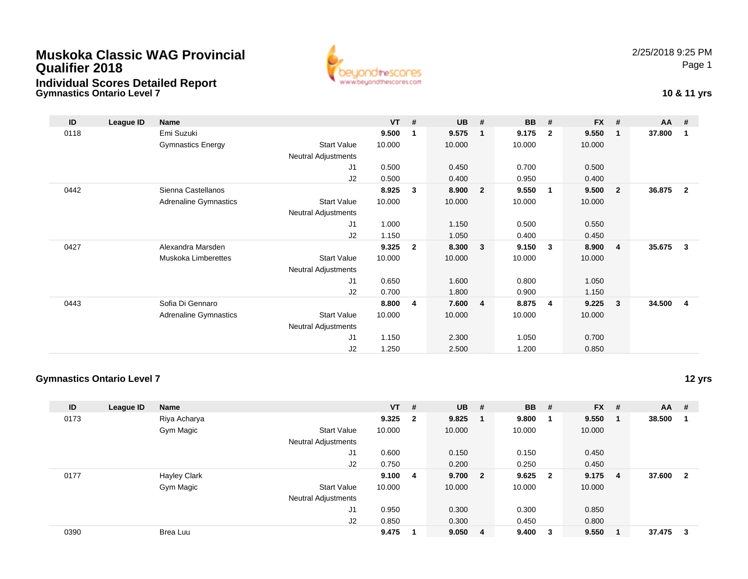## **Muskoka Classic WAG ProvincialQualifier 2018Individual Scores Detailed Report**

**Gymnastics Ontario Level 7**



## **10 & 11 yrs**

| ID   | League ID | <b>Name</b>                  |                            | $VT$ # |                | <b>UB</b> | #                       | <b>BB</b> | #                       | <b>FX</b> | #              | $AA$ # |                |
|------|-----------|------------------------------|----------------------------|--------|----------------|-----------|-------------------------|-----------|-------------------------|-----------|----------------|--------|----------------|
| 0118 |           | Emi Suzuki                   |                            | 9.500  | 1              | 9.575     | $\mathbf{1}$            | 9.175     | $\overline{2}$          | 9.550     | $\overline{1}$ | 37.800 | 1              |
|      |           | <b>Gymnastics Energy</b>     | <b>Start Value</b>         | 10.000 |                | 10.000    |                         | 10.000    |                         | 10.000    |                |        |                |
|      |           |                              | <b>Neutral Adjustments</b> |        |                |           |                         |           |                         |           |                |        |                |
|      |           |                              | J1                         | 0.500  |                | 0.450     |                         | 0.700     |                         | 0.500     |                |        |                |
|      |           |                              | J2                         | 0.500  |                | 0.400     |                         | 0.950     |                         | 0.400     |                |        |                |
| 0442 |           | Sienna Castellanos           |                            | 8.925  | $\mathbf{3}$   | 8.900     | $\overline{\mathbf{2}}$ | 9.550     | $\overline{\mathbf{1}}$ | 9.500     | -2             | 36.875 | $\overline{2}$ |
|      |           | <b>Adrenaline Gymnastics</b> | <b>Start Value</b>         | 10.000 |                | 10.000    |                         | 10.000    |                         | 10.000    |                |        |                |
|      |           |                              | Neutral Adjustments        |        |                |           |                         |           |                         |           |                |        |                |
|      |           |                              | J <sub>1</sub>             | 1.000  |                | 1.150     |                         | 0.500     |                         | 0.550     |                |        |                |
|      |           |                              | J2                         | 1.150  |                | 1.050     |                         | 0.400     |                         | 0.450     |                |        |                |
| 0427 |           | Alexandra Marsden            |                            | 9.325  | $\mathbf{2}$   | 8.300     | 3                       | 9.150     | $\overline{\mathbf{3}}$ | 8.900     | $\overline{4}$ | 35.675 | 3              |
|      |           | Muskoka Limberettes          | <b>Start Value</b>         | 10.000 |                | 10.000    |                         | 10.000    |                         | 10.000    |                |        |                |
|      |           |                              | Neutral Adjustments        |        |                |           |                         |           |                         |           |                |        |                |
|      |           |                              | J1                         | 0.650  |                | 1.600     |                         | 0.800     |                         | 1.050     |                |        |                |
|      |           |                              | J2                         | 0.700  |                | 1.800     |                         | 0.900     |                         | 1.150     |                |        |                |
| 0443 |           | Sofia Di Gennaro             |                            | 8.800  | $\overline{4}$ | 7.600     | $\overline{4}$          | 8.875     | -4                      | 9.225     | -3             | 34.500 | 4              |
|      |           | <b>Adrenaline Gymnastics</b> | <b>Start Value</b>         | 10.000 |                | 10.000    |                         | 10.000    |                         | 10.000    |                |        |                |
|      |           |                              | Neutral Adjustments        |        |                |           |                         |           |                         |           |                |        |                |
|      |           |                              | J1                         | 1.150  |                | 2.300     |                         | 1.050     |                         | 0.700     |                |        |                |
|      |           |                              | J <sub>2</sub>             | 1.250  |                | 2.500     |                         | 1.200     |                         | 0.850     |                |        |                |

#### **Gymnastics Ontario Level 7**

**12 yrs**

| ID   | League ID | <b>Name</b>         |                            | VT        | # | $UB$ #  |                         | <b>BB</b> | #            | $FX$ # |                | <b>AA</b> | #                       |
|------|-----------|---------------------|----------------------------|-----------|---|---------|-------------------------|-----------|--------------|--------|----------------|-----------|-------------------------|
| 0173 |           | Riya Acharya        |                            | $9.325$ 2 |   | 9.825   | $\overline{\mathbf{1}}$ | 9.800     |              | 9.550  | $\blacksquare$ | 38.500    |                         |
|      |           | Gym Magic           | <b>Start Value</b>         | 10.000    |   | 10.000  |                         | 10.000    |              | 10.000 |                |           |                         |
|      |           |                     | <b>Neutral Adjustments</b> |           |   |         |                         |           |              |        |                |           |                         |
|      |           |                     | J1                         | 0.600     |   | 0.150   |                         | 0.150     |              | 0.450  |                |           |                         |
|      |           |                     | J2                         | 0.750     |   | 0.200   |                         | 0.250     |              | 0.450  |                |           |                         |
| 0177 |           | <b>Hayley Clark</b> |                            | 9.100     | 4 | 9.700 2 |                         | 9.625     | $\mathbf{2}$ | 9.175  | - 4            | 37.600    | $\overline{\mathbf{2}}$ |
|      |           | Gym Magic           | <b>Start Value</b>         | 10.000    |   | 10.000  |                         | 10.000    |              | 10.000 |                |           |                         |
|      |           |                     | <b>Neutral Adjustments</b> |           |   |         |                         |           |              |        |                |           |                         |
|      |           |                     | J1                         | 0.950     |   | 0.300   |                         | 0.300     |              | 0.850  |                |           |                         |
|      |           |                     | J2                         | 0.850     |   | 0.300   |                         | 0.450     |              | 0.800  |                |           |                         |
| 0390 |           | Brea Luu            |                            | 9.475     |   | 9.050 4 |                         | 9.400     | 3            | 9.550  |                | 37.475    | - 3                     |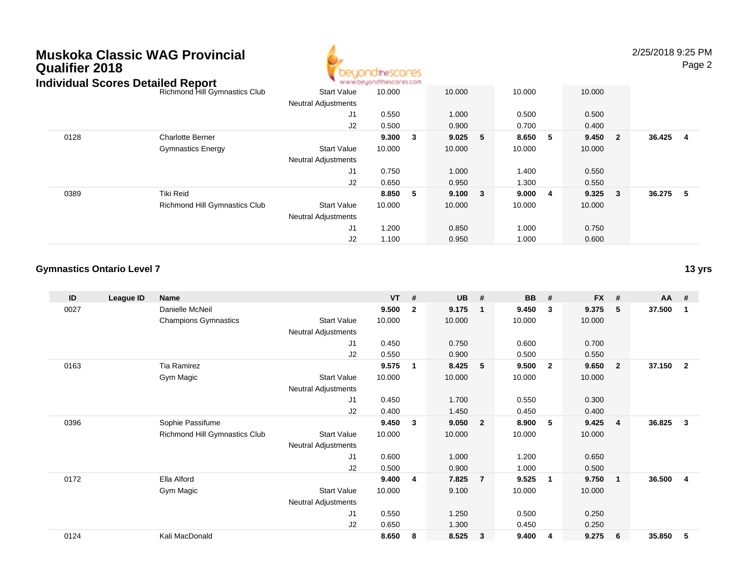## **Muskoka Classic WAG ProvincialQualifier 2018Individual Scores Detailed R**



2/25/2018 9:25 PM

Page 2

| ndividual Scores Detalled Report |                                      |                            | . M.M.M.DB/TOURISCOLB7.COM |    |              |     |         |                 |          |  |
|----------------------------------|--------------------------------------|----------------------------|----------------------------|----|--------------|-----|---------|-----------------|----------|--|
|                                  | Richmond Hill Gymnastics Club        | <b>Start Value</b>         | 10.000                     |    | 10.000       |     | 10.000  | 10.000          |          |  |
|                                  |                                      | <b>Neutral Adjustments</b> |                            |    |              |     |         |                 |          |  |
|                                  |                                      | J1                         | 0.550                      |    | 1.000        |     | 0.500   | 0.500           |          |  |
|                                  |                                      | J2                         | 0.500                      |    | 0.900        |     | 0.700   | 0.400           |          |  |
| 0128                             | <b>Charlotte Berner</b>              |                            | 9.300                      | -3 | 9.025        | - 5 | 8.650 5 | 9.450 2         | 36.425 4 |  |
|                                  | <b>Gymnastics Energy</b>             | <b>Start Value</b>         | 10.000                     |    | 10.000       |     | 10.000  | 10.000          |          |  |
|                                  |                                      | <b>Neutral Adjustments</b> |                            |    |              |     |         |                 |          |  |
|                                  |                                      | J1                         | 0.750                      |    | 1.000        |     | 1.400   | 0.550           |          |  |
|                                  |                                      | J2                         | 0.650                      |    | 0.950        |     | 1.300   | 0.550           |          |  |
| 0389                             | Tiki Reid                            |                            | 8.850                      | -5 | $9.100 \t 3$ |     | 9.0004  | $9.325 \quad 3$ | 36.275 5 |  |
|                                  | <b>Richmond Hill Gymnastics Club</b> | <b>Start Value</b>         | 10.000                     |    | 10.000       |     | 10.000  | 10.000          |          |  |
|                                  |                                      | <b>Neutral Adjustments</b> |                            |    |              |     |         |                 |          |  |
|                                  |                                      | J1                         | 1.200                      |    | 0.850        |     | 1.000   | 0.750           |          |  |
|                                  |                                      | J2                         | 1.100                      |    | 0.950        |     | 1.000   | 0.600           |          |  |

#### **Gymnastics Ontario Level 7**

| ID   | League ID | <b>Name</b>                   |                            | <b>VT</b> | #            | <b>UB</b> | #              | <b>BB</b> | #                       | <b>FX</b> | #                       | AA     | #              |
|------|-----------|-------------------------------|----------------------------|-----------|--------------|-----------|----------------|-----------|-------------------------|-----------|-------------------------|--------|----------------|
| 0027 |           | Danielle McNeil               |                            | 9.500     | $\mathbf{2}$ | 9.175     | $\mathbf{1}$   | 9.450     | 3                       | 9.375     | -5                      | 37.500 | -1             |
|      |           | <b>Champions Gymnastics</b>   | <b>Start Value</b>         | 10.000    |              | 10.000    |                | 10.000    |                         | 10.000    |                         |        |                |
|      |           |                               | Neutral Adjustments        |           |              |           |                |           |                         |           |                         |        |                |
|      |           |                               | J1                         | 0.450     |              | 0.750     |                | 0.600     |                         | 0.700     |                         |        |                |
|      |           |                               | J2                         | 0.550     |              | 0.900     |                | 0.500     |                         | 0.550     |                         |        |                |
| 0163 |           | Tia Ramirez                   |                            | 9.575     | 1            | 8.425     | 5              | 9.500     | $\overline{\mathbf{2}}$ | 9.650     | $\overline{\mathbf{2}}$ | 37.150 | $\overline{2}$ |
|      |           | Gym Magic                     | <b>Start Value</b>         | 10.000    |              | 10.000    |                | 10.000    |                         | 10.000    |                         |        |                |
|      |           |                               | Neutral Adjustments        |           |              |           |                |           |                         |           |                         |        |                |
|      |           |                               | J1                         | 0.450     |              | 1.700     |                | 0.550     |                         | 0.300     |                         |        |                |
|      |           |                               | J2                         | 0.400     |              | 1.450     |                | 0.450     |                         | 0.400     |                         |        |                |
| 0396 |           | Sophie Passifume              |                            | 9.450     | 3            | 9.050     | $\overline{2}$ | 8.900     | - 5                     | 9.425     | -4                      | 36.825 | 3              |
|      |           | Richmond Hill Gymnastics Club | <b>Start Value</b>         | 10.000    |              | 10.000    |                | 10.000    |                         | 10.000    |                         |        |                |
|      |           |                               | <b>Neutral Adjustments</b> |           |              |           |                |           |                         |           |                         |        |                |
|      |           |                               | J1                         | 0.600     |              | 1.000     |                | 1.200     |                         | 0.650     |                         |        |                |
|      |           |                               | J2                         | 0.500     |              | 0.900     |                | 1.000     |                         | 0.500     |                         |        |                |
| 0172 |           | Ella Alford                   |                            | 9.400     | 4            | 7.825     | $\overline{7}$ | 9.525     | $\overline{\mathbf{1}}$ | 9.750     | $\overline{\mathbf{1}}$ | 36.500 | 4              |
|      |           | Gym Magic                     | <b>Start Value</b>         | 10.000    |              | 9.100     |                | 10.000    |                         | 10.000    |                         |        |                |
|      |           |                               | Neutral Adjustments        |           |              |           |                |           |                         |           |                         |        |                |
|      |           |                               | J <sub>1</sub>             | 0.550     |              | 1.250     |                | 0.500     |                         | 0.250     |                         |        |                |
|      |           |                               | J2                         | 0.650     |              | 1.300     |                | 0.450     |                         | 0.250     |                         |        |                |
| 0124 |           | Kali MacDonald                |                            | 8.650     | 8            | 8.525     | $\mathbf{3}$   | 9.400     | 4                       | 9.275     | - 6                     | 35.850 | 5              |

**13 yrs**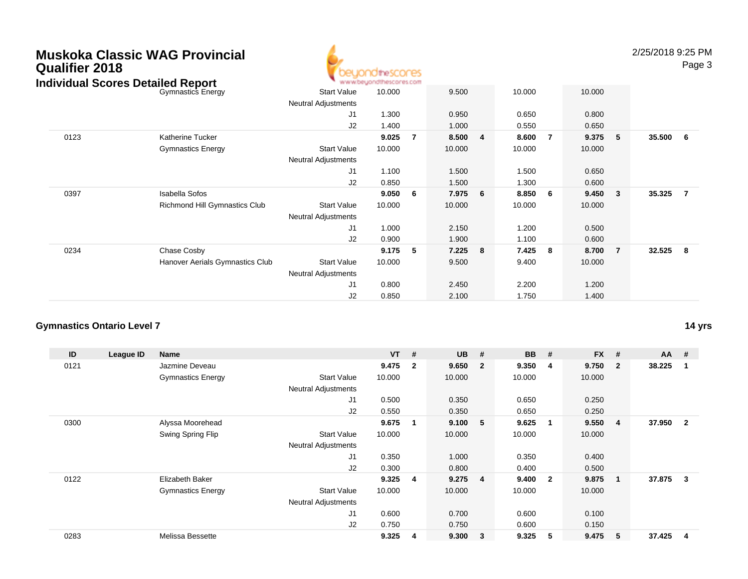| Qualifier 2018 |  | Muskoka Classic WAG Provincial |  |
|----------------|--|--------------------------------|--|
|                |  |                                |  |



2/25/2018 9:25 PM

Page 3

| Individual Scores Detailed Report |                                 | ъ.                         | www.beyondthescores.com |    |        |     |        |                |        |                |          |                |
|-----------------------------------|---------------------------------|----------------------------|-------------------------|----|--------|-----|--------|----------------|--------|----------------|----------|----------------|
|                                   | <b>Gymnastics Energy</b>        | <b>Start Value</b>         | 10.000                  |    | 9.500  |     | 10.000 |                | 10.000 |                |          |                |
|                                   |                                 | <b>Neutral Adjustments</b> |                         |    |        |     |        |                |        |                |          |                |
|                                   |                                 | J1                         | 1.300                   |    | 0.950  |     | 0.650  |                | 0.800  |                |          |                |
|                                   |                                 | J <sub>2</sub>             | 1.400                   |    | 1.000  |     | 0.550  |                | 0.650  |                |          |                |
| 0123                              | Katherine Tucker                |                            | 9.025                   | 7  | 8.500  | - 4 | 8.600  | $\overline{7}$ | 9.375  | 5              | 35.500 6 |                |
|                                   | <b>Gymnastics Energy</b>        | <b>Start Value</b>         | 10.000                  |    | 10.000 |     | 10.000 |                | 10.000 |                |          |                |
|                                   |                                 | <b>Neutral Adjustments</b> |                         |    |        |     |        |                |        |                |          |                |
|                                   |                                 | J1                         | 1.100                   |    | 1.500  |     | 1.500  |                | 0.650  |                |          |                |
|                                   |                                 | J <sub>2</sub>             | 0.850                   |    | 1.500  |     | 1.300  |                | 0.600  |                |          |                |
| 0397                              | <b>Isabella Sofos</b>           |                            | 9.050                   | -6 | 7.975  | - 6 | 8.850  | 6              | 9.450  | 3              | 35.325   | $\overline{7}$ |
|                                   | Richmond Hill Gymnastics Club   | <b>Start Value</b>         | 10.000                  |    | 10.000 |     | 10.000 |                | 10.000 |                |          |                |
|                                   |                                 | <b>Neutral Adjustments</b> |                         |    |        |     |        |                |        |                |          |                |
|                                   |                                 | J1                         | 1.000                   |    | 2.150  |     | 1.200  |                | 0.500  |                |          |                |
|                                   |                                 | J <sub>2</sub>             | 0.900                   |    | 1.900  |     | 1.100  |                | 0.600  |                |          |                |
| 0234                              | Chase Cosby                     |                            | 9.175                   | 5  | 7.225  | - 8 | 7.425  | 8              | 8.700  | $\overline{7}$ | 32.525 8 |                |
|                                   | Hanover Aerials Gymnastics Club | <b>Start Value</b>         | 10.000                  |    | 9.500  |     | 9.400  |                | 10.000 |                |          |                |
|                                   |                                 | <b>Neutral Adjustments</b> |                         |    |        |     |        |                |        |                |          |                |
|                                   |                                 | J1                         | 0.800                   |    | 2.450  |     | 2.200  |                | 1.200  |                |          |                |
|                                   |                                 | J <sub>2</sub>             | 0.850                   |    | 2.100  |     | 1.750  |                | 1.400  |                |          |                |

#### **Gymnastics Ontario Level 7**

| ID   | League ID | Name                     |                            | $VT$ # |                | <b>UB</b> | #                       | <b>BB</b> | #                       | <b>FX</b> | #              | $AA$ # |                |
|------|-----------|--------------------------|----------------------------|--------|----------------|-----------|-------------------------|-----------|-------------------------|-----------|----------------|--------|----------------|
| 0121 |           | Jazmine Deveau           |                            | 9.475  | $\overline{2}$ | 9.650     | $\overline{\mathbf{2}}$ | 9.350     | -4                      | 9.750     | $\overline{2}$ | 38.225 |                |
|      |           | <b>Gymnastics Energy</b> | <b>Start Value</b>         | 10.000 |                | 10.000    |                         | 10.000    |                         | 10.000    |                |        |                |
|      |           |                          | <b>Neutral Adjustments</b> |        |                |           |                         |           |                         |           |                |        |                |
|      |           |                          | J <sub>1</sub>             | 0.500  |                | 0.350     |                         | 0.650     |                         | 0.250     |                |        |                |
|      |           |                          | J2                         | 0.550  |                | 0.350     |                         | 0.650     |                         | 0.250     |                |        |                |
| 0300 |           | Alyssa Moorehead         |                            | 9.675  |                | 9.100     | $-5$                    | 9.625     | $\mathbf 1$             | 9.550     | 4              | 37.950 | $\overline{2}$ |
|      |           | Swing Spring Flip        | <b>Start Value</b>         | 10.000 |                | 10.000    |                         | 10.000    |                         | 10.000    |                |        |                |
|      |           |                          | Neutral Adjustments        |        |                |           |                         |           |                         |           |                |        |                |
|      |           |                          | J <sub>1</sub>             | 0.350  |                | 1.000     |                         | 0.350     |                         | 0.400     |                |        |                |
|      |           |                          | J2                         | 0.300  |                | 0.800     |                         | 0.400     |                         | 0.500     |                |        |                |
| 0122 |           | Elizabeth Baker          |                            | 9.325  | 4              | 9.275     | -4                      | 9.400     | $\overline{\mathbf{2}}$ | 9.875     | 1              | 37.875 | 3              |
|      |           | <b>Gymnastics Energy</b> | <b>Start Value</b>         | 10.000 |                | 10.000    |                         | 10.000    |                         | 10.000    |                |        |                |
|      |           |                          | <b>Neutral Adjustments</b> |        |                |           |                         |           |                         |           |                |        |                |
|      |           |                          | J1                         | 0.600  |                | 0.700     |                         | 0.600     |                         | 0.100     |                |        |                |
|      |           |                          | J <sub>2</sub>             | 0.750  |                | 0.750     |                         | 0.600     |                         | 0.150     |                |        |                |
| 0283 |           | Melissa Bessette         |                            | 9.325  | 4              | 9.300     | $\overline{\mathbf{3}}$ | 9.325     | 5                       | 9.475     | 5              | 37.425 | 4              |

**14 yrs**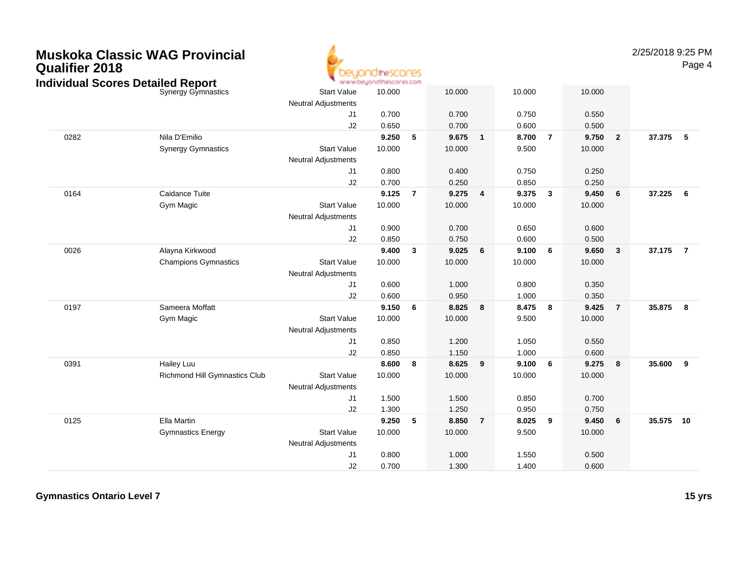| <b>Qualifier 2018</b> | <b>Muskoka Classic WAG Provincial</b><br><b>Individual Scores Detailed Report</b> |                                                  | YO the SCOMES<br>www.beyondthescores.com |                |        |                |        |                |        |                | 2/25/2018 9:25 PM | Page 4                   |
|-----------------------|-----------------------------------------------------------------------------------|--------------------------------------------------|------------------------------------------|----------------|--------|----------------|--------|----------------|--------|----------------|-------------------|--------------------------|
|                       | Synergy Gymnastics                                                                | <b>Start Value</b>                               | 10.000                                   |                | 10.000 |                | 10.000 |                | 10.000 |                |                   |                          |
|                       |                                                                                   | <b>Neutral Adjustments</b>                       |                                          |                |        |                |        |                |        |                |                   |                          |
|                       |                                                                                   | J1                                               | 0.700                                    |                | 0.700  |                | 0.750  |                | 0.550  |                |                   |                          |
|                       |                                                                                   | J2                                               | 0.650                                    |                | 0.700  |                | 0.600  |                | 0.500  |                |                   |                          |
| 0282                  | Nila D'Emilio                                                                     |                                                  | 9.250                                    | 5              | 9.675  | $\mathbf{1}$   | 8.700  | $\overline{7}$ | 9.750  | $\overline{2}$ | 37.375            | $\overline{\phantom{0}}$ |
|                       | <b>Synergy Gymnastics</b>                                                         | <b>Start Value</b>                               | 10.000                                   |                | 10.000 |                | 9.500  |                | 10.000 |                |                   |                          |
|                       |                                                                                   | <b>Neutral Adjustments</b>                       |                                          |                |        |                |        |                |        |                |                   |                          |
|                       |                                                                                   | J1                                               | 0.800                                    |                | 0.400  |                | 0.750  |                | 0.250  |                |                   |                          |
|                       |                                                                                   | J2                                               | 0.700                                    |                | 0.250  |                | 0.850  |                | 0.250  |                |                   |                          |
| 0164                  | Caidance Tuite                                                                    |                                                  | 9.125                                    | $\overline{7}$ | 9.275  | $\overline{4}$ | 9.375  | $\mathbf{3}$   | 9.450  | 6              | 37.225            | 6                        |
|                       | Gym Magic                                                                         | <b>Start Value</b>                               | 10.000                                   |                | 10.000 |                | 10.000 |                | 10.000 |                |                   |                          |
|                       |                                                                                   | <b>Neutral Adjustments</b>                       |                                          |                |        |                |        |                |        |                |                   |                          |
|                       |                                                                                   | J1                                               | 0.900                                    |                | 0.700  |                | 0.650  |                | 0.600  |                |                   |                          |
|                       |                                                                                   | J2                                               | 0.850                                    |                | 0.750  |                | 0.600  |                | 0.500  |                |                   |                          |
| 0026                  | Alayna Kirkwood                                                                   |                                                  | 9.400                                    | $\mathbf{3}$   | 9.025  | 6              | 9.100  | 6              | 9.650  | $\mathbf{3}$   | 37.175            | $\overline{7}$           |
|                       | <b>Champions Gymnastics</b>                                                       | <b>Start Value</b>                               | 10.000                                   |                | 10.000 |                | 10.000 |                | 10.000 |                |                   |                          |
|                       |                                                                                   | <b>Neutral Adjustments</b>                       |                                          |                |        |                |        |                |        |                |                   |                          |
|                       |                                                                                   | J <sub>1</sub>                                   | 0.600                                    |                | 1.000  |                | 0.800  |                | 0.350  |                |                   |                          |
|                       |                                                                                   | J2                                               | 0.600                                    |                | 0.950  |                | 1.000  |                | 0.350  |                |                   |                          |
| 0197                  | Sameera Moffatt                                                                   |                                                  | 9.150                                    | 6              | 8.825  | 8              | 8.475  | 8              | 9.425  | $\overline{7}$ | 35.875            | 8                        |
|                       | Gym Magic                                                                         | <b>Start Value</b><br><b>Neutral Adjustments</b> | 10.000                                   |                | 10.000 |                | 9.500  |                | 10.000 |                |                   |                          |
|                       |                                                                                   | J1                                               | 0.850                                    |                | 1.200  |                | 1.050  |                | 0.550  |                |                   |                          |
|                       |                                                                                   | J2                                               | 0.850                                    |                | 1.150  |                | 1.000  |                | 0.600  |                |                   |                          |
| 0391                  | <b>Hailey Luu</b>                                                                 |                                                  | 8.600                                    | 8              | 8.625  | 9              | 9.100  | 6              | 9.275  | 8              | 35.600            | 9                        |
|                       | Richmond Hill Gymnastics Club                                                     | <b>Start Value</b>                               | 10.000                                   |                | 10.000 |                | 10.000 |                | 10.000 |                |                   |                          |
|                       |                                                                                   | <b>Neutral Adjustments</b>                       |                                          |                |        |                |        |                |        |                |                   |                          |
|                       |                                                                                   | J1                                               | 1.500                                    |                | 1.500  |                | 0.850  |                | 0.700  |                |                   |                          |
|                       |                                                                                   | J2                                               | 1.300                                    |                | 1.250  |                | 0.950  |                | 0.750  |                |                   |                          |
| 0125                  | Ella Martin                                                                       |                                                  | 9.250                                    | 5              | 8.850  | $\overline{7}$ | 8.025  | 9              | 9.450  | 6              | 35.575            | 10                       |
|                       | <b>Gymnastics Energy</b>                                                          | <b>Start Value</b>                               | 10.000                                   |                | 10.000 |                | 9.500  |                | 10.000 |                |                   |                          |
|                       |                                                                                   | <b>Neutral Adjustments</b>                       |                                          |                |        |                |        |                |        |                |                   |                          |
|                       |                                                                                   | J1                                               | 0.800                                    |                | 1.000  |                | 1.550  |                | 0.500  |                |                   |                          |
|                       |                                                                                   | J2                                               | 0.700                                    |                | 1.300  |                | 1.400  |                | 0.600  |                |                   |                          |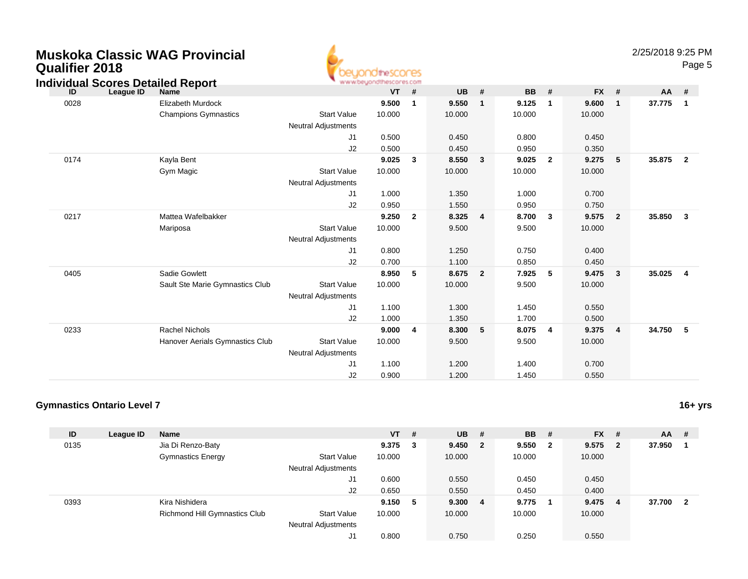| <b>Qualifier 2018</b> |                                                               |                                                  | beuondthescores<br>www.beyondthescores.com |              |           |                |           |                |           |                |        | Page 5                  |
|-----------------------|---------------------------------------------------------------|--------------------------------------------------|--------------------------------------------|--------------|-----------|----------------|-----------|----------------|-----------|----------------|--------|-------------------------|
| ID                    | <b>Individual Scores Detailed Report</b><br>League ID<br>Name |                                                  | <b>VT</b>                                  | #            | <b>UB</b> | #              | <b>BB</b> | #              | <b>FX</b> | #              | AA     | #                       |
| 0028                  | Elizabeth Murdock                                             |                                                  | 9.500                                      | $\mathbf 1$  | 9.550     | $\mathbf 1$    | 9.125     | 1              | 9.600     | $\mathbf{1}$   | 37.775 | $\overline{\mathbf{1}}$ |
|                       | <b>Champions Gymnastics</b>                                   | <b>Start Value</b><br><b>Neutral Adjustments</b> | 10.000                                     |              | 10.000    |                | 10.000    |                | 10.000    |                |        |                         |
|                       |                                                               | J1                                               | 0.500                                      |              | 0.450     |                | 0.800     |                | 0.450     |                |        |                         |
|                       |                                                               | J2                                               | 0.500                                      |              | 0.450     |                | 0.950     |                | 0.350     |                |        |                         |
| 0174                  | Kayla Bent                                                    |                                                  | 9.025                                      | 3            | 8.550     | 3              | 9.025     | $\mathbf{2}$   | 9.275     | 5              | 35.875 | $\overline{\mathbf{2}}$ |
|                       | Gym Magic                                                     | <b>Start Value</b><br><b>Neutral Adjustments</b> | 10.000                                     |              | 10.000    |                | 10.000    |                | 10.000    |                |        |                         |
|                       |                                                               | J1                                               | 1.000                                      |              | 1.350     |                | 1.000     |                | 0.700     |                |        |                         |
|                       |                                                               | J2                                               | 0.950                                      |              | 1.550     |                | 0.950     |                | 0.750     |                |        |                         |
| 0217                  | Mattea Wafelbakker                                            |                                                  | 9.250                                      | $\mathbf{2}$ | 8.325     | $\overline{4}$ | 8.700     | 3              | 9.575     | $\overline{2}$ | 35.850 | $\mathbf{3}$            |
|                       | Mariposa                                                      | <b>Start Value</b><br><b>Neutral Adjustments</b> | 10.000                                     |              | 9.500     |                | 9.500     |                | 10.000    |                |        |                         |
|                       |                                                               | J1                                               | 0.800                                      |              | 1.250     |                | 0.750     |                | 0.400     |                |        |                         |
|                       |                                                               | J2                                               | 0.700                                      |              | 1.100     |                | 0.850     |                | 0.450     |                |        |                         |
| 0405                  | Sadie Gowlett                                                 |                                                  | 8.950                                      | 5            | 8.675     | $\overline{2}$ | 7.925     | 5              | 9.475     | 3              | 35.025 | $\overline{4}$          |
|                       | Sault Ste Marie Gymnastics Club                               | <b>Start Value</b><br><b>Neutral Adjustments</b> | 10.000                                     |              | 10.000    |                | 9.500     |                | 10.000    |                |        |                         |
|                       |                                                               | J1                                               | 1.100                                      |              | 1.300     |                | 1.450     |                | 0.550     |                |        |                         |
|                       |                                                               | J2                                               | 1.000                                      |              | 1.350     |                | 1.700     |                | 0.500     |                |        |                         |
| 0233                  | <b>Rachel Nichols</b>                                         |                                                  | 9.000                                      | 4            | 8.300     | 5              | 8.075     | $\overline{4}$ | 9.375     | $\overline{4}$ | 34.750 | $-5$                    |
|                       | Hanover Aerials Gymnastics Club                               | <b>Start Value</b><br><b>Neutral Adjustments</b> | 10.000                                     |              | 9.500     |                | 9.500     |                | 10.000    |                |        |                         |
|                       |                                                               | J1                                               | 1.100                                      |              | 1.200     |                | 1.400     |                | 0.700     |                |        |                         |
|                       |                                                               | J2                                               | 0.900                                      |              | 1.200     |                | 1.450     |                | 0.550     |                |        |                         |

4

### **Gymnastics Ontario Level 7**

**Muskoka Classic WAG Provincial**

| ID   | League ID | <b>Name</b>                   |                            | $VT$ #  | $UB$ #  |    | <b>BB</b> | - #                     | <b>FX</b> | - # | <b>AA</b> | #  |
|------|-----------|-------------------------------|----------------------------|---------|---------|----|-----------|-------------------------|-----------|-----|-----------|----|
| 0135 |           | Jia Di Renzo-Baty             |                            | 9.375 3 | 9.450 2 |    | 9.550     | $\overline{\mathbf{2}}$ | 9.575     | - 2 | 37.950    |    |
|      |           | <b>Gymnastics Energy</b>      | <b>Start Value</b>         | 10.000  | 10.000  |    | 10.000    |                         | 10.000    |     |           |    |
|      |           |                               | <b>Neutral Adjustments</b> |         |         |    |           |                         |           |     |           |    |
|      |           |                               | J1                         | 0.600   | 0.550   |    | 0.450     |                         | 0.450     |     |           |    |
|      |           |                               | J2                         | 0.650   | 0.550   |    | 0.450     |                         | 0.400     |     |           |    |
| 0393 |           | Kira Nishidera                |                            | 9.150 5 | 9.300   | -4 | 9.775     |                         | 9.475     | -4  | 37.700    | -2 |
|      |           | Richmond Hill Gymnastics Club | <b>Start Value</b>         | 10.000  | 10.000  |    | 10.000    |                         | 10.000    |     |           |    |
|      |           |                               | <b>Neutral Adjustments</b> |         |         |    |           |                         |           |     |           |    |
|      |           |                               | J1                         | 0.800   | 0.750   |    | 0.250     |                         | 0.550     |     |           |    |

**16+ yrs**

2/25/2018 9:25 PM